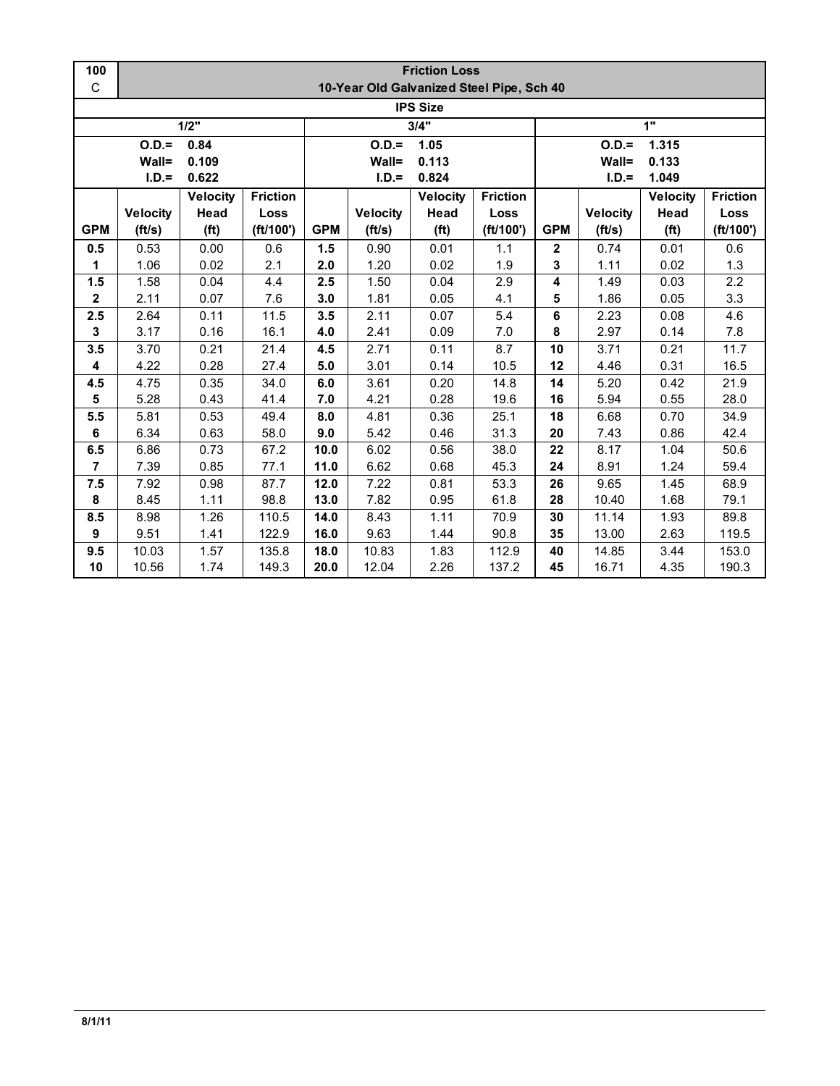| 100             | <b>Friction Loss</b> |                   |                 |                  |                                           |                   |                   |              |                 |                   |                 |  |  |
|-----------------|----------------------|-------------------|-----------------|------------------|-------------------------------------------|-------------------|-------------------|--------------|-----------------|-------------------|-----------------|--|--|
| $\mathsf C$     |                      |                   |                 |                  | 10-Year Old Galvanized Steel Pipe, Sch 40 |                   |                   |              |                 |                   |                 |  |  |
| <b>IPS Size</b> |                      |                   |                 |                  |                                           |                   |                   |              |                 |                   |                 |  |  |
|                 | 3/4"<br>1"<br>1/2"   |                   |                 |                  |                                           |                   |                   |              |                 |                   |                 |  |  |
|                 | $O.D. =$             | 0.84              |                 | $O.D. =$<br>1.05 |                                           |                   | 1.315<br>$O.D. =$ |              |                 |                   |                 |  |  |
|                 | Wall=                | 0.109             |                 |                  | Wall=                                     | 0.113             |                   |              | Wall=           | 0.133             |                 |  |  |
|                 | $I.D.=$              | 0.622             |                 |                  | $I.D.=$                                   | 0.824             |                   |              | $I.D.=$         | 1.049             |                 |  |  |
|                 |                      | <b>Velocity</b>   | <b>Friction</b> |                  |                                           | <b>Velocity</b>   | <b>Friction</b>   |              |                 | <b>Velocity</b>   | <b>Friction</b> |  |  |
|                 | <b>Velocity</b>      | Head              | Loss            |                  | <b>Velocity</b>                           | Head              | Loss              |              | <b>Velocity</b> | Head              | Loss            |  |  |
| <b>GPM</b>      | (ft/s)               | (f <sup>t</sup> ) | (ft/100')       | <b>GPM</b>       | (ft/s)                                    | (f <sup>t</sup> ) | (ft/100')         | <b>GPM</b>   | (ft/s)          | (f <sup>t</sup> ) | (ft/100')       |  |  |
| 0.5             | 0.53                 | 0.00              | 0.6             | 1.5              | 0.90                                      | 0.01              | 1.1               | $\mathbf{2}$ | 0.74            | 0.01              | 0.6             |  |  |
| 1               | 1.06                 | 0.02              | 2.1             | 2.0              | 1.20                                      | 0.02              | 1.9               | 3            | 1.11            | 0.02              | 1.3             |  |  |
| 1.5             | 1.58                 | 0.04              | 4.4             | 2.5              | 1.50                                      | 0.04              | 2.9               | 4            | 1.49            | 0.03              | 2.2             |  |  |
| $\mathbf{2}$    | 2.11                 | 0.07              | 7.6             | 3.0              | 1.81                                      | 0.05              | 4.1               | 5            | 1.86            | 0.05              | 3.3             |  |  |
| 2.5             | 2.64                 | 0.11              | 11.5            | 3.5              | 2.11                                      | 0.07              | 5.4               | 6            | 2.23            | 0.08              | 4.6             |  |  |
| 3               | 3.17                 | 0.16              | 16.1            | 4.0              | 2.41                                      | 0.09              | 7.0               | 8            | 2.97            | 0.14              | 7.8             |  |  |
| 3.5             | 3.70                 | 0.21              | 21.4            | 4.5              | 2.71                                      | 0.11              | 8.7               | 10           | 3.71            | 0.21              | 11.7            |  |  |
| 4               | 4.22                 | 0.28              | 27.4            | 5.0              | 3.01                                      | 0.14              | 10.5              | 12           | 4.46            | 0.31              | 16.5            |  |  |
| 4.5             | 4.75                 | 0.35              | 34.0            | 6.0              | 3.61                                      | 0.20              | 14.8              | 14           | 5.20            | 0.42              | 21.9            |  |  |
| 5               | 5.28                 | 0.43              | 41.4            | 7.0              | 4.21                                      | 0.28              | 19.6              | 16           | 5.94            | 0.55              | 28.0            |  |  |
| 5.5             | 5.81                 | 0.53              | 49.4            | 8.0              | 4.81                                      | 0.36              | 25.1              | 18           | 6.68            | 0.70              | 34.9            |  |  |
| 6               | 6.34                 | 0.63              | 58.0            | 9.0              | 5.42                                      | 0.46              | 31.3              | 20           | 7.43            | 0.86              | 42.4            |  |  |
| 6.5             | 6.86                 | 0.73              | 67.2            | 10.0             | 6.02                                      | 0.56              | 38.0              | 22           | 8.17            | 1.04              | 50.6            |  |  |
| $\overline{7}$  | 7.39                 | 0.85              | 77.1            | 11.0             | 6.62                                      | 0.68              | 45.3              | 24           | 8.91            | 1.24              | 59.4            |  |  |
| 7.5             | 7.92                 | 0.98              | 87.7            | 12.0             | 7.22                                      | 0.81              | 53.3              | 26           | 9.65            | 1.45              | 68.9            |  |  |
| 8               | 8.45                 | 1.11              | 98.8            | 13.0             | 7.82                                      | 0.95              | 61.8              | 28           | 10.40           | 1.68              | 79.1            |  |  |
| 8.5             | 8.98                 | 1.26              | 110.5           | 14.0             | 8.43                                      | 1.11              | 70.9              | 30           | 11.14           | 1.93              | 89.8            |  |  |
| 9               | 9.51                 | 1.41              | 122.9           | 16.0             | 9.63                                      | 1.44              | 90.8              | 35           | 13.00           | 2.63              | 119.5           |  |  |
| 9.5             | 10.03                | 1.57              | 135.8           | 18.0             | 10.83                                     | 1.83              | 112.9             | 40           | 14.85           | 3.44              | 153.0           |  |  |
| 10              | 10.56                | 1.74              | 149.3           | 20.0             | 12.04                                     | 2.26              | 137.2             | 45           | 16.71           | 4.35              | 190.3           |  |  |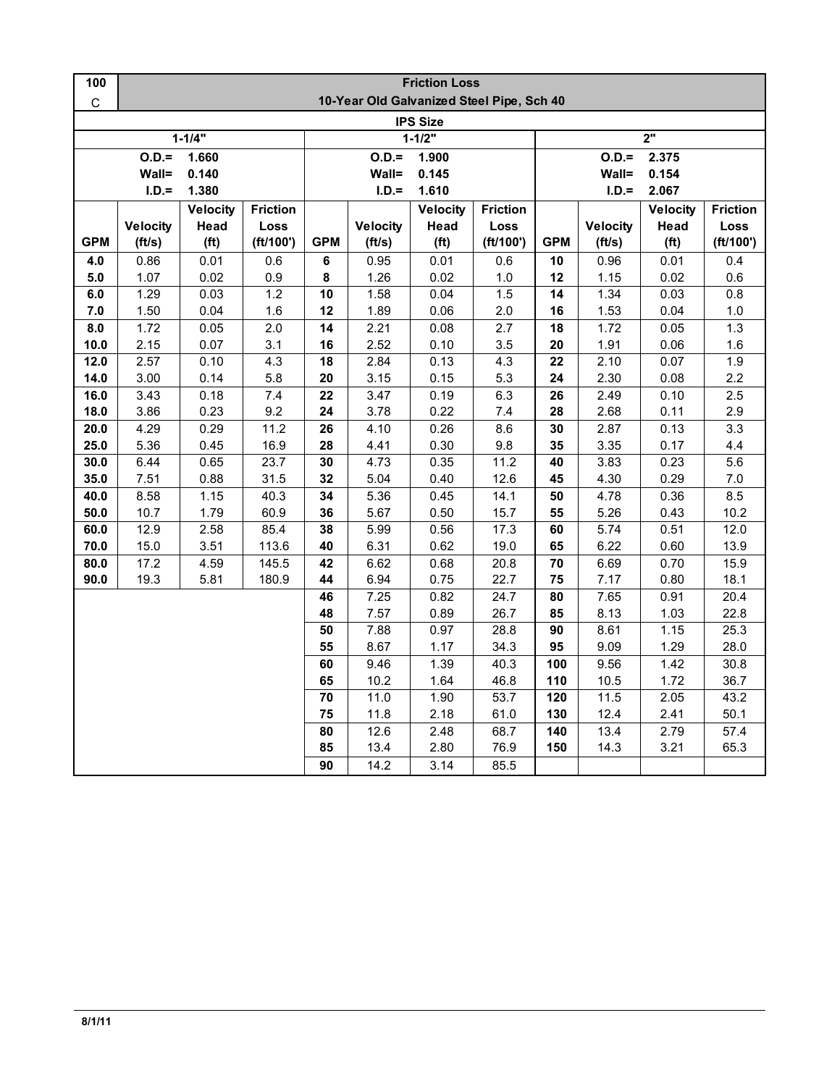| 100             | <b>Friction Loss</b>                      |                   |                 |                 |                   |                   |                 |                  |                  |                   |                  |  |  |
|-----------------|-------------------------------------------|-------------------|-----------------|-----------------|-------------------|-------------------|-----------------|------------------|------------------|-------------------|------------------|--|--|
| $\mathsf C$     | 10-Year Old Galvanized Steel Pipe, Sch 40 |                   |                 |                 |                   |                   |                 |                  |                  |                   |                  |  |  |
| <b>IPS Size</b> |                                           |                   |                 |                 |                   |                   |                 |                  |                  |                   |                  |  |  |
|                 |                                           | $1 - 1/4"$        |                 | $1 - 1/2"$      |                   |                   |                 | 2"               |                  |                   |                  |  |  |
|                 | $O.D.=$<br>1.660                          |                   |                 |                 | $O.D. =$<br>1.900 |                   |                 |                  | $O.D.=$<br>2.375 |                   |                  |  |  |
|                 | Wall=<br>0.140                            |                   |                 |                 | Wall=<br>0.145    |                   |                 |                  |                  | Wall=<br>0.154    |                  |  |  |
|                 | $I.D.=$                                   | 1.380             |                 |                 | $I.D.=$           | 1.610             |                 | $I.D.=$<br>2.067 |                  |                   |                  |  |  |
|                 |                                           | <b>Velocity</b>   | <b>Friction</b> |                 |                   | <b>Velocity</b>   | <b>Friction</b> |                  |                  | <b>Velocity</b>   | <b>Friction</b>  |  |  |
|                 | <b>Velocity</b>                           | Head              | Loss            |                 | <b>Velocity</b>   | Head              | Loss            |                  | <b>Velocity</b>  | Head              | Loss             |  |  |
| <b>GPM</b>      | (ft/s)                                    | (f <sup>t</sup> ) | (ft/100')       | <b>GPM</b>      | (ft/s)            | (f <sup>t</sup> ) | (ft/100')       | <b>GPM</b>       | (ft/s)           | (f <sup>t</sup> ) | (ft/100')        |  |  |
| 4.0             | 0.86                                      | 0.01              | 0.6             | 6               | 0.95              | 0.01              | 0.6             | 10               | 0.96             | 0.01              | 0.4              |  |  |
| 5.0             | 1.07                                      | 0.02              | 0.9             | 8               | 1.26              | 0.02              | 1.0             | 12               | 1.15             | 0.02              | 0.6              |  |  |
| 6.0             | 1.29                                      | 0.03              | 1.2             | $\overline{10}$ | 1.58              | 0.04              | 1.5             | $\overline{14}$  | 1.34             | 0.03              | $\overline{0.8}$ |  |  |
| 7.0             | 1.50                                      | 0.04              | 1.6             | 12              | 1.89              | 0.06              | 2.0             | 16               | 1.53             | 0.04              | 1.0              |  |  |
| 8.0             | 1.72                                      | 0.05              | 2.0             | 14              | 2.21              | 0.08              | 2.7             | 18               | 1.72             | 0.05              | 1.3              |  |  |
| 10.0            | 2.15                                      | 0.07              | 3.1             | 16              | 2.52              | 0.10              | 3.5             | 20               | 1.91             | 0.06              | 1.6              |  |  |
| 12.0            | 2.57                                      | 0.10              | 4.3             | 18              | 2.84              | 0.13              | 4.3             | 22               | 2.10             | 0.07              | 1.9              |  |  |
| 14.0            | 3.00                                      | 0.14              | 5.8             | 20              | 3.15              | 0.15              | 5.3             | 24               | 2.30             | 0.08              | 2.2              |  |  |
| 16.0            | 3.43                                      | 0.18              | 7.4             | 22              | 3.47              | 0.19              | 6.3             | 26               | 2.49             | 0.10              | 2.5              |  |  |
| 18.0            | 3.86                                      | 0.23              | 9.2             | 24              | 3.78              | 0.22              | 7.4             | 28               | 2.68             | 0.11              | 2.9              |  |  |
| 20.0            | 4.29                                      | 0.29              | 11.2            | 26              | 4.10              | 0.26              | 8.6             | 30               | 2.87             | 0.13              | 3.3              |  |  |
| 25.0            | 5.36                                      | 0.45              | 16.9            | 28              | 4.41              | 0.30              | 9.8             | 35               | 3.35             | 0.17              | 4.4              |  |  |
| 30.0            | 6.44                                      | 0.65              | 23.7            | 30              | 4.73              | 0.35              | 11.2            | 40               | 3.83             | 0.23              | 5.6              |  |  |
| 35.0            | 7.51                                      | 0.88              | 31.5            | 32              | 5.04              | 0.40              | 12.6            | 45               | 4.30             | 0.29              | $7.0\,$          |  |  |
| 40.0            | 8.58                                      | 1.15              | 40.3            | $\overline{34}$ | 5.36              | 0.45              | 14.1            | 50               | 4.78             | 0.36              | 8.5              |  |  |
| 50.0            | 10.7                                      | 1.79              | 60.9            | 36              | 5.67              | 0.50              | 15.7            | 55               | 5.26             | 0.43              | 10.2             |  |  |
| 60.0            | 12.9                                      | 2.58              | 85.4            | 38              | 5.99              | 0.56              | 17.3            | 60               | 5.74             | 0.51              | 12.0             |  |  |
| 70.0            | 15.0                                      | 3.51              | 113.6           | 40              | 6.31              | 0.62              | 19.0            | 65               | 6.22             | 0.60              | 13.9             |  |  |
| 80.0            | 17.2                                      | 4.59              | 145.5           | 42              | 6.62              | 0.68              | 20.8            | 70               | 6.69             | 0.70              | 15.9             |  |  |
| 90.0            | 19.3                                      | 5.81              | 180.9           | 44              | 6.94              | 0.75              | 22.7            | 75               | 7.17             | 0.80              | 18.1             |  |  |
|                 |                                           |                   |                 | 46              | 7.25              | 0.82              | 24.7            | 80               | 7.65             | 0.91              | 20.4             |  |  |
|                 |                                           |                   |                 | 48              | 7.57              | 0.89              | 26.7            | 85               | 8.13             | 1.03              | 22.8             |  |  |
|                 |                                           |                   |                 | 50              | 7.88              | 0.97              | 28.8            | 90               | 8.61             | 1.15              | 25.3             |  |  |
|                 |                                           |                   |                 | 55              | 8.67              | 1.17              | 34.3            | 95               | 9.09             | 1.29              | 28.0             |  |  |
|                 |                                           |                   |                 | 60              | 9.46              | 1.39              | 40.3            | 100              | 9.56             | 1.42              | 30.8             |  |  |
|                 |                                           |                   |                 | 65              | 10.2              | 1.64              | 46.8            | 110              | 10.5             | 1.72              | 36.7             |  |  |
|                 |                                           |                   |                 | 70              | 11.0              | 1.90              | 53.7            | 120              | 11.5             | 2.05              | 43.2             |  |  |
|                 |                                           |                   |                 | 75              | 11.8              | 2.18              | 61.0            | 130              | 12.4             | 2.41              | 50.1             |  |  |
|                 |                                           |                   |                 | 80              | 12.6              | 2.48              | 68.7            | 140              | 13.4             | 2.79              | 57.4             |  |  |
|                 |                                           |                   |                 | 85              | 13.4              | 2.80              | 76.9            | 150              | 14.3             | 3.21              | 65.3             |  |  |
|                 |                                           |                   |                 | 90              | 14.2              | 3.14              | 85.5            |                  |                  |                   |                  |  |  |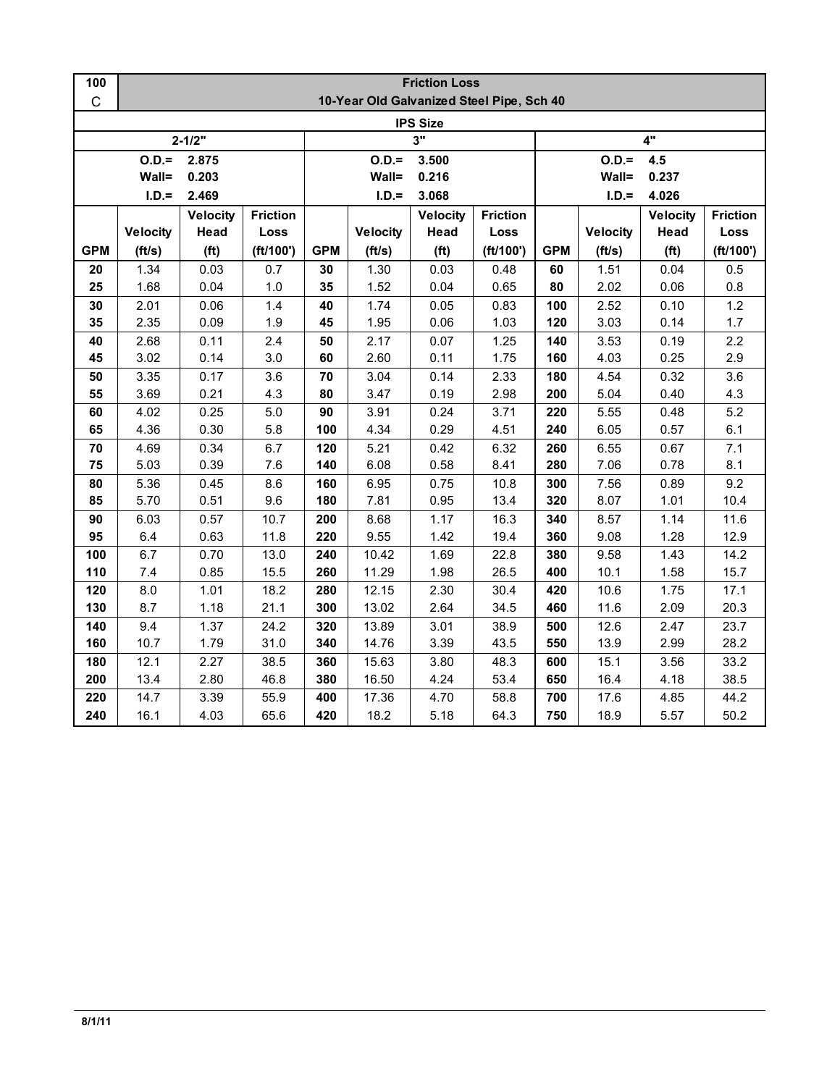| 100         | <b>Friction Loss</b>                      |                   |                 |                |                 |                   |                 |                |                 |                   |                 |  |  |
|-------------|-------------------------------------------|-------------------|-----------------|----------------|-----------------|-------------------|-----------------|----------------|-----------------|-------------------|-----------------|--|--|
| $\mathsf C$ | 10-Year Old Galvanized Steel Pipe, Sch 40 |                   |                 |                |                 |                   |                 |                |                 |                   |                 |  |  |
|             |                                           |                   |                 |                |                 | <b>IPS Size</b>   |                 |                |                 |                   |                 |  |  |
|             |                                           | $2 - 1/2"$        |                 | 3"             |                 |                   |                 | 4"             |                 |                   |                 |  |  |
|             | $O.D.=$<br>2.875                          |                   |                 |                | $O.D.=$         | 3.500             |                 | $O.D.=$<br>4.5 |                 |                   |                 |  |  |
|             | Wall=                                     | 0.203             |                 | Wall=<br>0.216 |                 |                   |                 |                | Wall=<br>0.237  |                   |                 |  |  |
|             | $I.D.=$                                   | 2.469             |                 |                | $I.D.=$         | 3.068             |                 |                | $I.D.=$         | 4.026             |                 |  |  |
|             |                                           | <b>Velocity</b>   | <b>Friction</b> |                |                 | <b>Velocity</b>   | <b>Friction</b> |                |                 | <b>Velocity</b>   | <b>Friction</b> |  |  |
|             | <b>Velocity</b>                           | Head              | Loss            |                | <b>Velocity</b> | Head              | Loss            |                | <b>Velocity</b> | Head              | Loss            |  |  |
| <b>GPM</b>  | (ft/s)                                    | (f <sup>t</sup> ) | (ft/100')       | <b>GPM</b>     | (ft/s)          | (f <sup>t</sup> ) | (ft/100')       | <b>GPM</b>     | (ft/s)          | (f <sup>t</sup> ) | (ft/100')       |  |  |
| 20          | 1.34                                      | 0.03              | 0.7             | 30             | 1.30            | 0.03              | 0.48            | 60             | 1.51            | 0.04              | 0.5             |  |  |
| 25          | 1.68                                      | 0.04              | 1.0             | 35             | 1.52            | 0.04              | 0.65            | 80             | 2.02            | 0.06              | $0.8\,$         |  |  |
| 30          | 2.01                                      | 0.06              | 1.4             | 40             | 1.74            | 0.05              | 0.83            | 100            | 2.52            | 0.10              | 1.2             |  |  |
| 35          | 2.35                                      | 0.09              | 1.9             | 45             | 1.95            | 0.06              | 1.03            | 120            | 3.03            | 0.14              | 1.7             |  |  |
| 40          | 2.68                                      | 0.11              | 2.4             | 50             | 2.17            | 0.07              | 1.25            | 140            | 3.53            | 0.19              | 2.2             |  |  |
| 45          | 3.02                                      | 0.14              | 3.0             | 60             | 2.60            | 0.11              | 1.75            | 160            | 4.03            | 0.25              | 2.9             |  |  |
| 50          | 3.35                                      | 0.17              | 3.6             | 70             | 3.04            | 0.14              | 2.33            | 180            | 4.54            | 0.32              | 3.6             |  |  |
| 55          | 3.69                                      | 0.21              | 4.3             | 80             | 3.47            | 0.19              | 2.98            | 200            | 5.04            | 0.40              | 4.3             |  |  |
| 60          | 4.02                                      | 0.25              | 5.0             | 90             | 3.91            | 0.24              | 3.71            | 220            | 5.55            | 0.48              | 5.2             |  |  |
| 65          | 4.36                                      | 0.30              | 5.8             | 100            | 4.34            | 0.29              | 4.51            | 240            | 6.05            | 0.57              | 6.1             |  |  |
| 70          | 4.69                                      | 0.34              | 6.7             | 120            | 5.21            | 0.42              | 6.32            | 260            | 6.55            | 0.67              | 7.1             |  |  |
| 75          | 5.03                                      | 0.39              | 7.6             | 140            | 6.08            | 0.58              | 8.41            | 280            | 7.06            | 0.78              | 8.1             |  |  |
| 80          | 5.36                                      | 0.45              | 8.6             | 160            | 6.95            | 0.75              | 10.8            | 300            | 7.56            | 0.89              | 9.2             |  |  |
| 85          | 5.70                                      | 0.51              | 9.6             | 180            | 7.81            | 0.95              | 13.4            | 320            | 8.07            | 1.01              | 10.4            |  |  |
| 90          | 6.03                                      | 0.57              | 10.7            | 200            | 8.68            | 1.17              | 16.3            | 340            | 8.57            | 1.14              | 11.6            |  |  |
| 95          | 6.4                                       | 0.63              | 11.8            | 220            | 9.55            | 1.42              | 19.4            | 360            | 9.08            | 1.28              | 12.9            |  |  |
| 100         | 6.7                                       | 0.70              | 13.0            | 240            | 10.42           | 1.69              | 22.8            | 380            | 9.58            | 1.43              | 14.2            |  |  |
| 110         | 7.4                                       | 0.85              | 15.5            | 260            | 11.29           | 1.98              | 26.5            | 400            | 10.1            | 1.58              | 15.7            |  |  |
| 120         | 8.0                                       | 1.01              | 18.2            | 280            | 12.15           | 2.30              | 30.4            | 420            | 10.6            | 1.75              | 17.1            |  |  |
| 130         | 8.7                                       | 1.18              | 21.1            | 300            | 13.02           | 2.64              | 34.5            | 460            | 11.6            | 2.09              | 20.3            |  |  |
| 140         | 9.4                                       | 1.37              | 24.2            | 320            | 13.89           | 3.01              | 38.9            | 500            | 12.6            | 2.47              | 23.7            |  |  |
| 160         | 10.7                                      | 1.79              | 31.0            | 340            | 14.76           | 3.39              | 43.5            | 550            | 13.9            | 2.99              | 28.2            |  |  |
| 180         | 12.1                                      | 2.27              | 38.5            | 360            | 15.63           | 3.80              | 48.3            | 600            | 15.1            | 3.56              | 33.2            |  |  |
| 200         | 13.4                                      | 2.80              | 46.8            | 380            | 16.50           | 4.24              | 53.4            | 650            | 16.4            | 4.18              | 38.5            |  |  |
| 220         | 14.7                                      | 3.39              | 55.9            | 400            | 17.36           | 4.70              | 58.8            | 700            | 17.6            | 4.85              | 44.2            |  |  |
| 240         | 16.1                                      | 4.03              | 65.6            | 420            | 18.2            | 5.18              | 64.3            | 750            | 18.9            | 5.57              | 50.2            |  |  |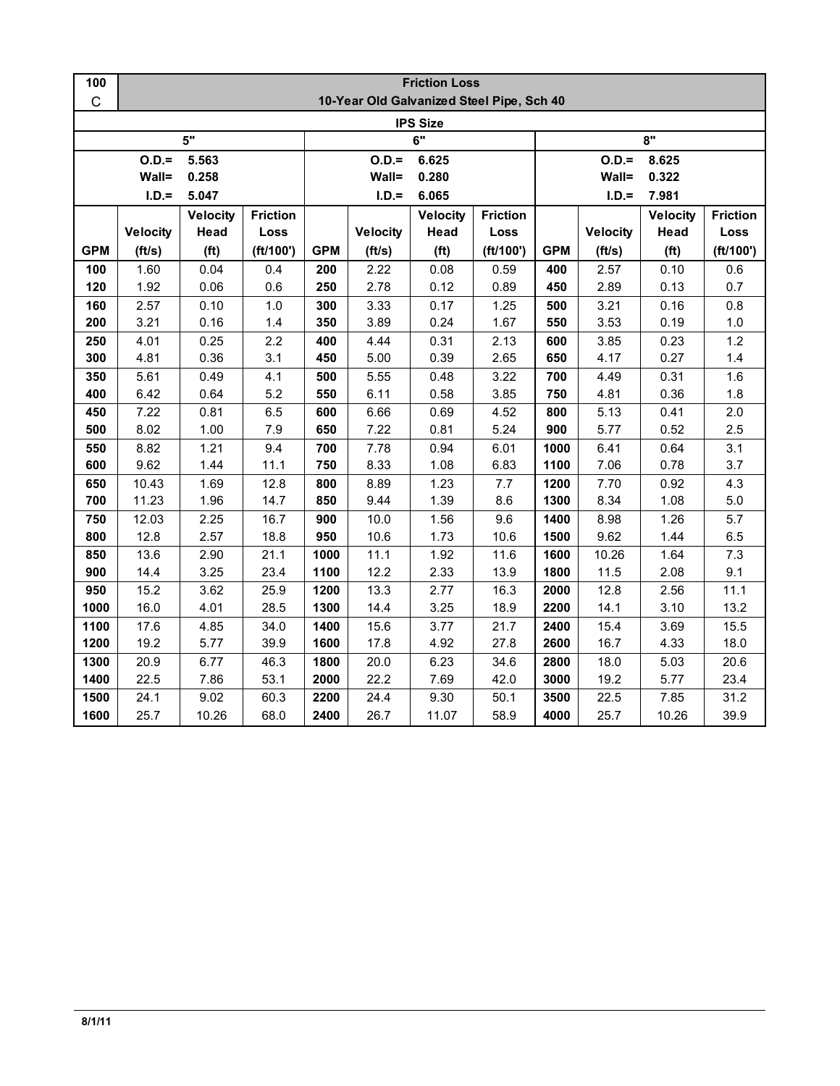| 100        | <b>Friction Loss</b>                      |                   |                 |            |                 |                   |                 |                  |                 |                   |                 |  |
|------------|-------------------------------------------|-------------------|-----------------|------------|-----------------|-------------------|-----------------|------------------|-----------------|-------------------|-----------------|--|
| C          | 10-Year Old Galvanized Steel Pipe, Sch 40 |                   |                 |            |                 |                   |                 |                  |                 |                   |                 |  |
|            |                                           |                   |                 |            |                 | <b>IPS Size</b>   |                 |                  |                 |                   |                 |  |
|            |                                           | 5"                |                 | 6"         |                 |                   |                 | 8"               |                 |                   |                 |  |
|            | $O.D. =$                                  | 5.563             |                 |            | $O.D.=$         | 6.625             |                 | $O.D.=$<br>8.625 |                 |                   |                 |  |
|            | Wall=                                     | 0.258             |                 |            | Wall=           | 0.280             |                 |                  | Wall=           | 0.322             |                 |  |
|            | $I.D.=$                                   | 5.047             |                 |            | $I.D.=$         | 6.065             |                 |                  | $I.D.=$         | 7.981             |                 |  |
|            |                                           | <b>Velocity</b>   | <b>Friction</b> |            |                 | <b>Velocity</b>   | <b>Friction</b> |                  |                 | <b>Velocity</b>   | <b>Friction</b> |  |
|            | <b>Velocity</b>                           | Head              | Loss            |            | <b>Velocity</b> | Head              | Loss            |                  | <b>Velocity</b> | Head              | Loss            |  |
| <b>GPM</b> | (ft/s)                                    | (f <sup>t</sup> ) | (ft/100')       | <b>GPM</b> | (ft/s)          | (f <sup>t</sup> ) | (ft/100')       | <b>GPM</b>       | (ft/s)          | (f <sup>t</sup> ) | (ft/100')       |  |
| 100        | 1.60                                      | 0.04              | 0.4             | 200        | 2.22            | 0.08              | 0.59            | 400              | 2.57            | 0.10              | 0.6             |  |
| 120        | 1.92                                      | 0.06              | 0.6             | 250        | 2.78            | 0.12              | 0.89            | 450              | 2.89            | 0.13              | 0.7             |  |
| 160        | 2.57                                      | 0.10              | 1.0             | 300        | 3.33            | 0.17              | 1.25            | 500              | 3.21            | 0.16              | 0.8             |  |
| 200        | 3.21                                      | 0.16              | 1.4             | 350        | 3.89            | 0.24              | 1.67            | 550              | 3.53            | 0.19              | $1.0$           |  |
| 250        | 4.01                                      | 0.25              | 2.2             | 400        | 4.44            | 0.31              | 2.13            | 600              | 3.85            | 0.23              | 1.2             |  |
| 300        | 4.81                                      | 0.36              | 3.1             | 450        | 5.00            | 0.39              | 2.65            | 650              | 4.17            | 0.27              | 1.4             |  |
| 350        | 5.61                                      | 0.49              | 4.1             | 500        | 5.55            | 0.48              | 3.22            | 700              | 4.49            | 0.31              | 1.6             |  |
| 400        | 6.42                                      | 0.64              | 5.2             | 550        | 6.11            | 0.58              | 3.85            | 750              | 4.81            | 0.36              | 1.8             |  |
| 450        | 7.22                                      | 0.81              | 6.5             | 600        | 6.66            | 0.69              | 4.52            | 800              | 5.13            | 0.41              | 2.0             |  |
| 500        | 8.02                                      | 1.00              | 7.9             | 650        | 7.22            | 0.81              | 5.24            | 900              | 5.77            | 0.52              | 2.5             |  |
| 550        | 8.82                                      | 1.21              | 9.4             | 700        | 7.78            | 0.94              | 6.01            | 1000             | 6.41            | 0.64              | 3.1             |  |
| 600        | 9.62                                      | 1.44              | 11.1            | 750        | 8.33            | 1.08              | 6.83            | 1100             | 7.06            | 0.78              | 3.7             |  |
| 650        | 10.43                                     | 1.69              | 12.8            | 800        | 8.89            | 1.23              | 7.7             | 1200             | 7.70            | 0.92              | 4.3             |  |
| 700        | 11.23                                     | 1.96              | 14.7            | 850        | 9.44            | 1.39              | 8.6             | 1300             | 8.34            | 1.08              | $5.0\,$         |  |
| 750        | 12.03                                     | 2.25              | 16.7            | 900        | 10.0            | 1.56              | 9.6             | 1400             | 8.98            | 1.26              | 5.7             |  |
| 800        | 12.8                                      | 2.57              | 18.8            | 950        | 10.6            | 1.73              | 10.6            | 1500             | 9.62            | 1.44              | 6.5             |  |
| 850        | 13.6                                      | 2.90              | 21.1            | 1000       | 11.1            | 1.92              | 11.6            | 1600             | 10.26           | 1.64              | 7.3             |  |
| 900        | 14.4                                      | 3.25              | 23.4            | 1100       | 12.2            | 2.33              | 13.9            | 1800             | 11.5            | 2.08              | 9.1             |  |
| 950        | 15.2                                      | 3.62              | 25.9            | 1200       | 13.3            | 2.77              | 16.3            | 2000             | 12.8            | 2.56              | 11.1            |  |
| 1000       | 16.0                                      | 4.01              | 28.5            | 1300       | 14.4            | 3.25              | 18.9            | 2200             | 14.1            | 3.10              | 13.2            |  |
| 1100       | 17.6                                      | 4.85              | 34.0            | 1400       | 15.6            | 3.77              | 21.7            | 2400             | 15.4            | 3.69              | 15.5            |  |
| 1200       | 19.2                                      | 5.77              | 39.9            | 1600       | 17.8            | 4.92              | 27.8            | 2600             | 16.7            | 4.33              | 18.0            |  |
| 1300       | 20.9                                      | 6.77              | 46.3            | 1800       | 20.0            | 6.23              | 34.6            | 2800             | 18.0            | 5.03              | 20.6            |  |
| 1400       | 22.5                                      | 7.86              | 53.1            | 2000       | 22.2            | 7.69              | 42.0            | 3000             | 19.2            | 5.77              | 23.4            |  |
| 1500       | 24.1                                      | 9.02              | 60.3            | 2200       | 24.4            | 9.30              | 50.1            | 3500             | 22.5            | 7.85              | 31.2            |  |
| 1600       | 25.7                                      | 10.26             | 68.0            | 2400       | 26.7            | 11.07             | 58.9            | 4000             | 25.7            | 10.26             | 39.9            |  |